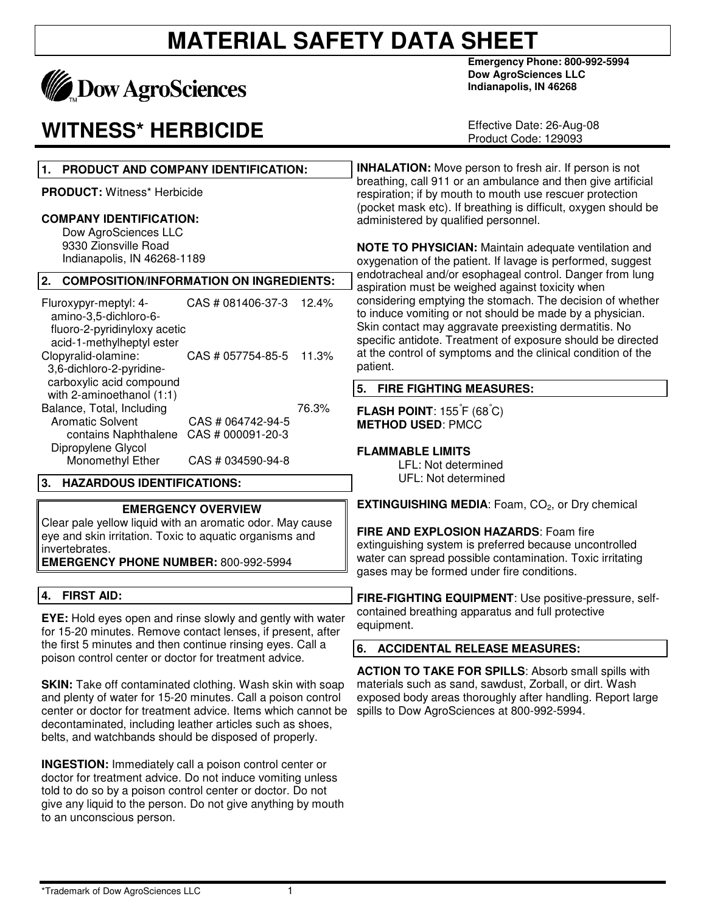

### **WITNESS\* HERBICIDE**

**Emergency Phone: 800-992-5994 Dow AgroSciences LLC Indianapolis, IN 46268** 

Effective Date: 26-Aug-08 Product Code: 129093

| $\mathbf 1$ .<br>PRODUCT AND COMPANY IDENTIFICATION:                                                                                                                                                                                                                                                                   | <b>INHALATION:</b> Move person to fresh air. If person is not                                                                                                                                                                                                                                                             |  |  |
|------------------------------------------------------------------------------------------------------------------------------------------------------------------------------------------------------------------------------------------------------------------------------------------------------------------------|---------------------------------------------------------------------------------------------------------------------------------------------------------------------------------------------------------------------------------------------------------------------------------------------------------------------------|--|--|
| PRODUCT: Witness* Herbicide                                                                                                                                                                                                                                                                                            | breathing, call 911 or an ambulance and then give artificial<br>respiration; if by mouth to mouth use rescuer protection<br>(pocket mask etc). If breathing is difficult, oxygen should be                                                                                                                                |  |  |
| <b>COMPANY IDENTIFICATION:</b><br>Dow AgroSciences LLC                                                                                                                                                                                                                                                                 | administered by qualified personnel.                                                                                                                                                                                                                                                                                      |  |  |
| 9330 Zionsville Road<br>Indianapolis, IN 46268-1189                                                                                                                                                                                                                                                                    | <b>NOTE TO PHYSICIAN:</b> Maintain adequate ventilation and<br>oxygenation of the patient. If lavage is performed, suggest                                                                                                                                                                                                |  |  |
| 2.<br><b>COMPOSITION/INFORMATION ON INGREDIENTS:</b>                                                                                                                                                                                                                                                                   | endotracheal and/or esophageal control. Danger from lung<br>aspiration must be weighed against toxicity when                                                                                                                                                                                                              |  |  |
| CAS # 081406-37-3<br>Fluroxypyr-meptyl: 4-<br>12.4%<br>amino-3,5-dichloro-6-<br>fluoro-2-pyridinyloxy acetic<br>acid-1-methylheptyl ester<br>Clopyralid-olamine:<br>CAS # 057754-85-5<br>11.3%<br>3,6-dichloro-2-pyridine-                                                                                             | considering emptying the stomach. The decision of whether<br>to induce vomiting or not should be made by a physician.<br>Skin contact may aggravate preexisting dermatitis. No<br>specific antidote. Treatment of exposure should be directed<br>at the control of symptoms and the clinical condition of the<br>patient. |  |  |
| carboxylic acid compound<br>with 2-aminoethanol (1:1)                                                                                                                                                                                                                                                                  | 5.<br><b>FIRE FIGHTING MEASURES:</b>                                                                                                                                                                                                                                                                                      |  |  |
| Balance, Total, Including<br>76.3%<br>Aromatic Solvent<br>CAS # 064742-94-5<br>contains Naphthalene<br>CAS # 000091-20-3<br>Dipropylene Glycol<br>Monomethyl Ether<br>CAS # 034590-94-8                                                                                                                                | <b>FLASH POINT:</b> $155\text{ F}$ (68°C)<br><b>METHOD USED: PMCC</b><br><b>FLAMMABLE LIMITS</b><br>LFL: Not determined                                                                                                                                                                                                   |  |  |
| 3. HAZARDOUS IDENTIFICATIONS:                                                                                                                                                                                                                                                                                          | UFL: Not determined                                                                                                                                                                                                                                                                                                       |  |  |
| <b>EMERGENCY OVERVIEW</b><br>Clear pale yellow liquid with an aromatic odor. May cause<br>eye and skin irritation. Toxic to aquatic organisms and<br>invertebrates.<br><b>EMERGENCY PHONE NUMBER: 800-992-5994</b>                                                                                                     | <b>EXTINGUISHING MEDIA:</b> Foam, CO <sub>2</sub> , or Dry chemical<br>FIRE AND EXPLOSION HAZARDS: Foam fire<br>extinguishing system is preferred because uncontrolled<br>water can spread possible contamination. Toxic irritating<br>gases may be formed under fire conditions.                                         |  |  |
| <b>FIRST AID:</b><br>4.                                                                                                                                                                                                                                                                                                | FIRE-FIGHTING EQUIPMENT: Use positive-pressure, self-                                                                                                                                                                                                                                                                     |  |  |
| <b>EYE:</b> Hold eyes open and rinse slowly and gently with water<br>for 15-20 minutes. Remove contact lenses, if present, after                                                                                                                                                                                       | contained breathing apparatus and full protective<br>equipment.                                                                                                                                                                                                                                                           |  |  |
| the first 5 minutes and then continue rinsing eyes. Call a<br>poison control center or doctor for treatment advice.                                                                                                                                                                                                    | 6.<br><b>ACCIDENTAL RELEASE MEASURES:</b>                                                                                                                                                                                                                                                                                 |  |  |
| <b>SKIN:</b> Take off contaminated clothing. Wash skin with soap<br>and plenty of water for 15-20 minutes. Call a poison control<br>center or doctor for treatment advice. Items which cannot be<br>decontaminated, including leather articles such as shoes,<br>belts, and watchbands should be disposed of properly. | <b>ACTION TO TAKE FOR SPILLS:</b> Absorb small spills with<br>materials such as sand, sawdust, Zorball, or dirt. Wash<br>exposed body areas thoroughly after handling. Report large<br>spills to Dow AgroSciences at 800-992-5994.                                                                                        |  |  |

**INGESTION:** Immediately call a poison control center or doctor for treatment advice. Do not induce vomiting unless told to do so by a poison control center or doctor. Do not give any liquid to the person. Do not give anything by mouth to an unconscious person.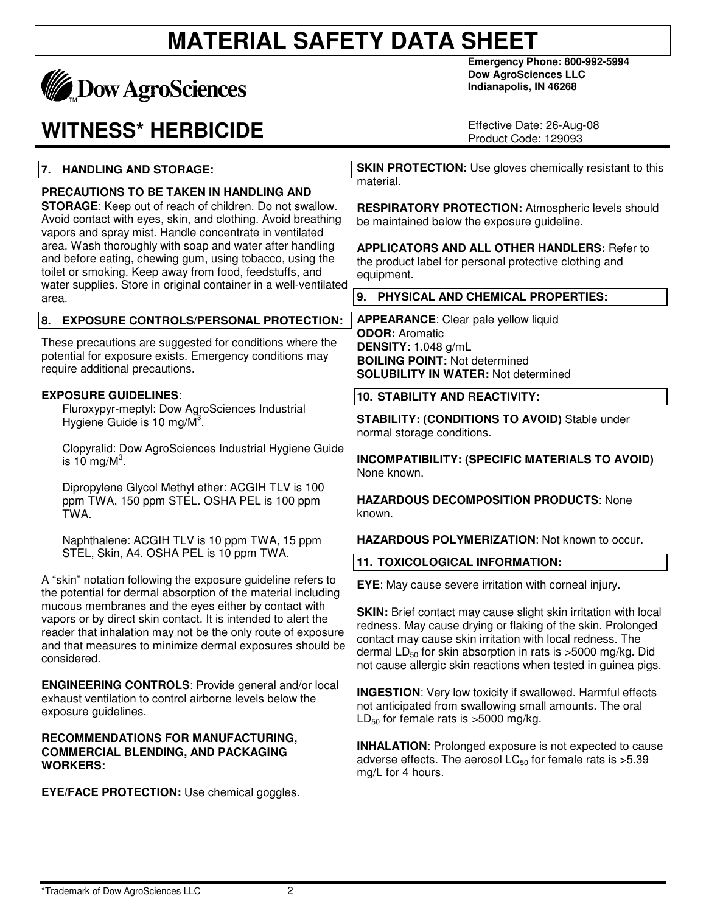

## **WITNESS\* HERBICIDE**

**Emergency Phone: 800-992-5994 Dow AgroSciences LLC Indianapolis, IN 46268** 

Effective Date: 26-Aug-08 Product Code: 129093

#### **7. HANDLING AND STORAGE:**

#### **PRECAUTIONS TO BE TAKEN IN HANDLING AND**

**STORAGE**: Keep out of reach of children. Do not swallow. Avoid contact with eyes, skin, and clothing. Avoid breathing vapors and spray mist. Handle concentrate in ventilated area. Wash thoroughly with soap and water after handling and before eating, chewing gum, using tobacco, using the toilet or smoking. Keep away from food, feedstuffs, and water supplies. Store in original container in a well-ventilated area.

#### **8. EXPOSURE CONTROLS/PERSONAL PROTECTION:**

These precautions are suggested for conditions where the potential for exposure exists. Emergency conditions may require additional precautions.

#### **EXPOSURE GUIDELINES**:

Fluroxypyr-meptyl: Dow AgroSciences Industrial Hygiene Guide is 10 mg/ $\overline{M}^3$ .

Clopyralid: Dow AgroSciences Industrial Hygiene Guide is 10 mg/ $M^3$ .

Dipropylene Glycol Methyl ether: ACGIH TLV is 100 ppm TWA, 150 ppm STEL. OSHA PEL is 100 ppm TWA.

Naphthalene: ACGIH TLV is 10 ppm TWA, 15 ppm STEL, Skin, A4. OSHA PEL is 10 ppm TWA.

A "skin" notation following the exposure guideline refers to the potential for dermal absorption of the material including mucous membranes and the eyes either by contact with vapors or by direct skin contact. It is intended to alert the reader that inhalation may not be the only route of exposure and that measures to minimize dermal exposures should be considered.

**ENGINEERING CONTROLS**: Provide general and/or local exhaust ventilation to control airborne levels below the exposure guidelines.

#### **RECOMMENDATIONS FOR MANUFACTURING, COMMERCIAL BLENDING, AND PACKAGING WORKERS:**

**EYE/FACE PROTECTION:** Use chemical goggles.

**SKIN PROTECTION:** Use gloves chemically resistant to this material.

**RESPIRATORY PROTECTION:** Atmospheric levels should be maintained below the exposure guideline.

**APPLICATORS AND ALL OTHER HANDLERS:** Refer to the product label for personal protective clothing and equipment.

**9. PHYSICAL AND CHEMICAL PROPERTIES:** 

**APPEARANCE**: Clear pale yellow liquid **ODOR:** Aromatic **DENSITY:** 1.048 g/mL **BOILING POINT:** Not determined **SOLUBILITY IN WATER:** Not determined

**10. STABILITY AND REACTIVITY:** 

**STABILITY: (CONDITIONS TO AVOID)** Stable under normal storage conditions.

**INCOMPATIBILITY: (SPECIFIC MATERIALS TO AVOID)** None known.

**HAZARDOUS DECOMPOSITION PRODUCTS**: None known.

**HAZARDOUS POLYMERIZATION**: Not known to occur.

**11. TOXICOLOGICAL INFORMATION:** 

**EYE**: May cause severe irritation with corneal injury.

**SKIN:** Brief contact may cause slight skin irritation with local redness. May cause drying or flaking of the skin. Prolonged contact may cause skin irritation with local redness. The dermal  $LD_{50}$  for skin absorption in rats is >5000 mg/kg. Did not cause allergic skin reactions when tested in guinea pigs.

**INGESTION**: Very low toxicity if swallowed. Harmful effects not anticipated from swallowing small amounts. The oral  $LD_{50}$  for female rats is >5000 mg/kg.

**INHALATION**: Prolonged exposure is not expected to cause adverse effects. The aerosol  $LC_{50}$  for female rats is  $>5.39$ mg/L for 4 hours.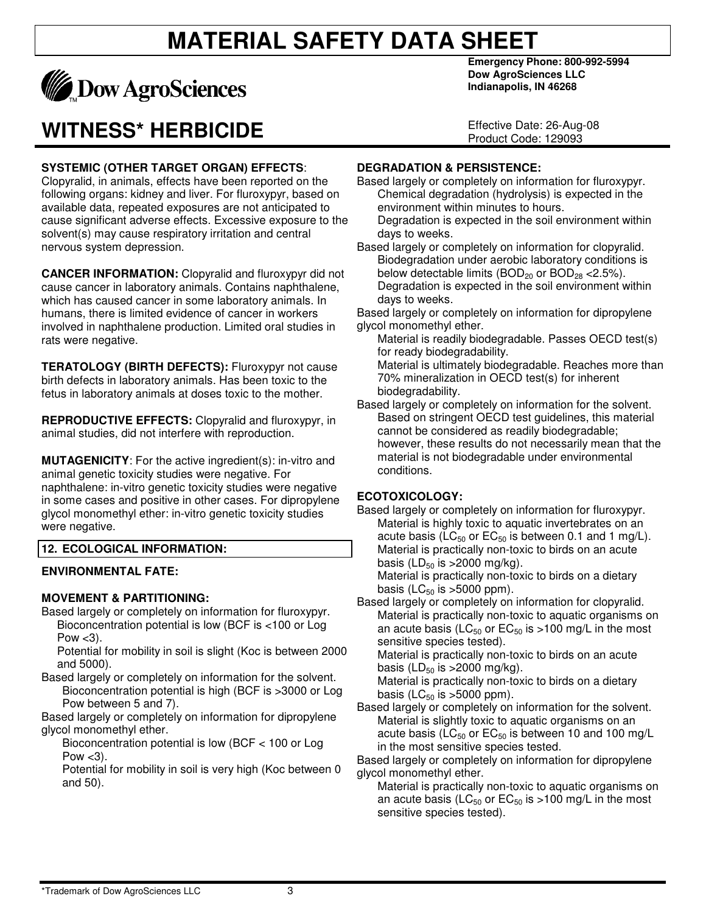

## **WITNESS\* HERBICIDE**

#### **SYSTEMIC (OTHER TARGET ORGAN) EFFECTS**:

Clopyralid, in animals, effects have been reported on the following organs: kidney and liver. For fluroxypyr, based on available data, repeated exposures are not anticipated to cause significant adverse effects. Excessive exposure to the solvent(s) may cause respiratory irritation and central nervous system depression.

**CANCER INFORMATION:** Clopyralid and fluroxypyr did not cause cancer in laboratory animals. Contains naphthalene, which has caused cancer in some laboratory animals. In humans, there is limited evidence of cancer in workers involved in naphthalene production. Limited oral studies in rats were negative.

**TERATOLOGY (BIRTH DEFECTS):** Fluroxypyr not cause birth defects in laboratory animals. Has been toxic to the fetus in laboratory animals at doses toxic to the mother.

**REPRODUCTIVE EFFECTS:** Clopyralid and fluroxypyr, in animal studies, did not interfere with reproduction.

**MUTAGENICITY:** For the active ingredient(s): in-vitro and animal genetic toxicity studies were negative. For naphthalene: in-vitro genetic toxicity studies were negative in some cases and positive in other cases. For dipropylene glycol monomethyl ether: in-vitro genetic toxicity studies were negative.

#### **12. ECOLOGICAL INFORMATION:**

#### **ENVIRONMENTAL FATE:**

#### **MOVEMENT & PARTITIONING:**

Based largely or completely on information for fluroxypyr. Bioconcentration potential is low (BCF is <100 or Log Pow  $<$ 3).

Potential for mobility in soil is slight (Koc is between 2000 and 5000).

Based largely or completely on information for the solvent. Bioconcentration potential is high (BCF is >3000 or Log Pow between 5 and 7).

Based largely or completely on information for dipropylene glycol monomethyl ether.

Bioconcentration potential is low (BCF < 100 or Log Pow  $<$ 3).

Potential for mobility in soil is very high (Koc between 0 and 50).

**Emergency Phone: 800-992-5994 Dow AgroSciences LLC Indianapolis, IN 46268** 

Effective Date: 26-Aug-08 Product Code: 129093

#### **DEGRADATION & PERSISTENCE:**

- Based largely or completely on information for fluroxypyr. Chemical degradation (hydrolysis) is expected in the environment within minutes to hours.
- Degradation is expected in the soil environment within days to weeks.

Based largely or completely on information for clopyralid. Biodegradation under aerobic laboratory conditions is below detectable limits  $(BOD_{20}$  or  $BOD_{28}$  < 2.5%). Degradation is expected in the soil environment within days to weeks.

Based largely or completely on information for dipropylene glycol monomethyl ether.

Material is readily biodegradable. Passes OECD test(s) for ready biodegradability.

Material is ultimately biodegradable. Reaches more than 70% mineralization in OECD test(s) for inherent biodegradability.

Based largely or completely on information for the solvent. Based on stringent OECD test guidelines, this material cannot be considered as readily biodegradable; however, these results do not necessarily mean that the material is not biodegradable under environmental conditions.

#### **ECOTOXICOLOGY:**

Based largely or completely on information for fluroxypyr. Material is highly toxic to aquatic invertebrates on an acute basis (LC $_{50}$  or EC $_{50}$  is between 0.1 and 1 mg/L). Material is practically non-toxic to birds on an acute basis (LD $_{50}$  is >2000 mg/kg).

Material is practically non-toxic to birds on a dietary basis ( $LC_{50}$  is  $>5000$  ppm).

Based largely or completely on information for clopyralid. Material is practically non-toxic to aquatic organisms on an acute basis ( $LC_{50}$  or  $EC_{50}$  is >100 mg/L in the most sensitive species tested).

Material is practically non-toxic to birds on an acute basis (LD $_{50}$  is >2000 mg/kg).

Material is practically non-toxic to birds on a dietary basis (LC $_{50}$  is >5000 ppm).

Based largely or completely on information for the solvent. Material is slightly toxic to aquatic organisms on an acute basis ( $LC_{50}$  or  $EC_{50}$  is between 10 and 100 mg/L in the most sensitive species tested.

Based largely or completely on information for dipropylene glycol monomethyl ether.

Material is practically non-toxic to aquatic organisms on an acute basis ( $LC_{50}$  or  $EC_{50}$  is >100 mg/L in the most sensitive species tested).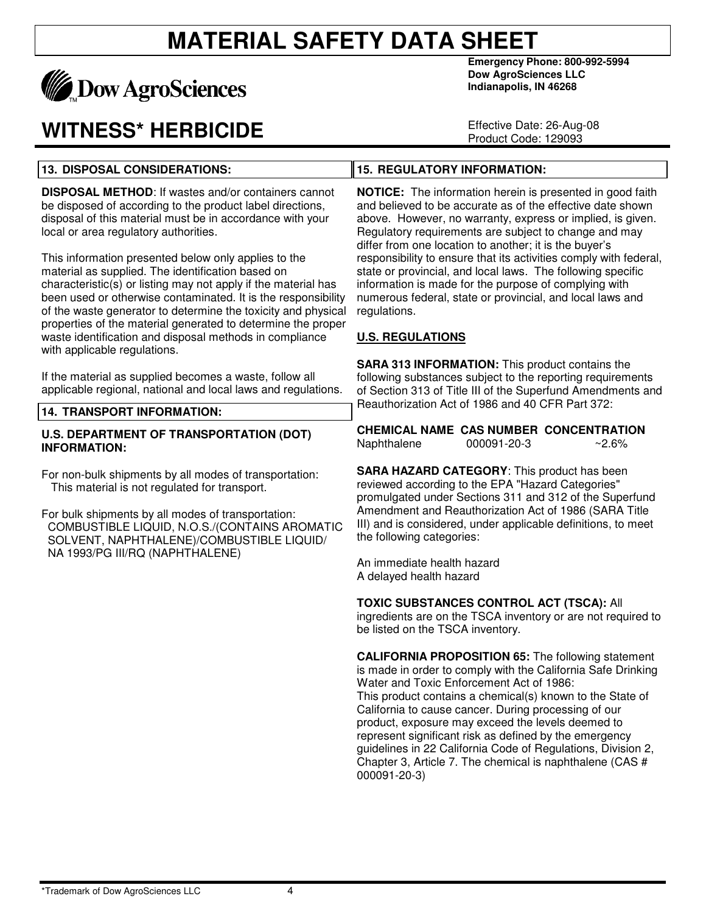

**13. DISPOSAL CONSIDERATIONS:** 

## **WITNESS\* HERBICIDE**

**Emergency Phone: 800-992-5994 Dow AgroSciences LLC Indianapolis, IN 46268** 

Effective Date: 26-Aug-08 Product Code: 129093

#### **15. REGULATORY INFORMATION:**

**DISPOSAL METHOD**: If wastes and/or containers cannot be disposed of according to the product label directions, disposal of this material must be in accordance with your local or area regulatory authorities.

This information presented below only applies to the material as supplied. The identification based on characteristic(s) or listing may not apply if the material has been used or otherwise contaminated. It is the responsibility of the waste generator to determine the toxicity and physical properties of the material generated to determine the proper waste identification and disposal methods in compliance with applicable regulations.

If the material as supplied becomes a waste, follow all applicable regional, national and local laws and regulations.

#### **14. TRANSPORT INFORMATION:**

#### **U.S. DEPARTMENT OF TRANSPORTATION (DOT) INFORMATION:**

For non-bulk shipments by all modes of transportation: This material is not regulated for transport.

For bulk shipments by all modes of transportation: COMBUSTIBLE LIQUID, N.O.S./(CONTAINS AROMATIC SOLVENT, NAPHTHALENE)/COMBUSTIBLE LIQUID/ NA 1993/PG III/RQ (NAPHTHALENE)

**NOTICE:** The information herein is presented in good faith and believed to be accurate as of the effective date shown above. However, no warranty, express or implied, is given. Regulatory requirements are subject to change and may differ from one location to another; it is the buyer's responsibility to ensure that its activities comply with federal, state or provincial, and local laws. The following specific information is made for the purpose of complying with numerous federal, state or provincial, and local laws and regulations.

#### **U.S. REGULATIONS**

**SARA 313 INFORMATION:** This product contains the following substances subject to the reporting requirements of Section 313 of Title III of the Superfund Amendments and Reauthorization Act of 1986 and 40 CFR Part 372:

**CHEMICAL NAME CAS NUMBER CONCENTRATION** Naphthalene 000091-20-3 ~2.6%

**SARA HAZARD CATEGORY**: This product has been reviewed according to the EPA "Hazard Categories" promulgated under Sections 311 and 312 of the Superfund Amendment and Reauthorization Act of 1986 (SARA Title III) and is considered, under applicable definitions, to meet the following categories:

An immediate health hazard A delayed health hazard

#### **TOXIC SUBSTANCES CONTROL ACT (TSCA):** All

ingredients are on the TSCA inventory or are not required to be listed on the TSCA inventory.

**CALIFORNIA PROPOSITION 65:** The following statement is made in order to comply with the California Safe Drinking Water and Toxic Enforcement Act of 1986: This product contains a chemical(s) known to the State of California to cause cancer. During processing of our product, exposure may exceed the levels deemed to represent significant risk as defined by the emergency guidelines in 22 California Code of Regulations, Division 2, Chapter 3, Article 7. The chemical is naphthalene (CAS # 000091-20-3)